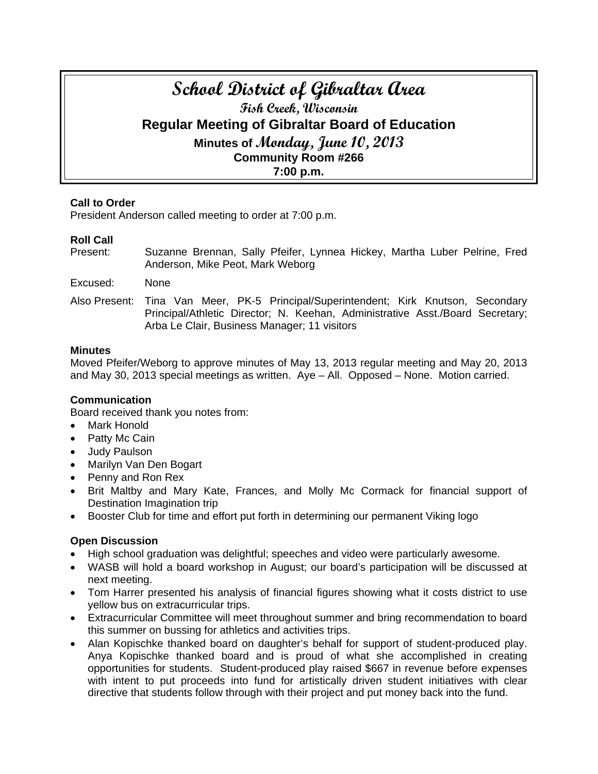# **School District of Gibraltar Area Fish Creek, Wisconsin Regular Meeting of Gibraltar Board of Education Minutes of Monday, June 10, 2013 Community Room #266 7:00 p.m.**

# **Call to Order**

President Anderson called meeting to order at 7:00 p.m.

# **Roll Call**

- Present: Suzanne Brennan, Sally Pfeifer, Lynnea Hickey, Martha Luber Pelrine, Fred Anderson, Mike Peot, Mark Weborg
- Excused: None
- Also Present: Tina Van Meer, PK-5 Principal/Superintendent; Kirk Knutson, Secondary Principal/Athletic Director; N. Keehan, Administrative Asst./Board Secretary; Arba Le Clair, Business Manager; 11 visitors

#### **Minutes**

Moved Pfeifer/Weborg to approve minutes of May 13, 2013 regular meeting and May 20, 2013 and May 30, 2013 special meetings as written. Aye – All. Opposed – None. Motion carried.

#### **Communication**

Board received thank you notes from:

- **Mark Honold**
- Patty Mc Cain
- Judy Paulson
- Marilyn Van Den Bogart
- Penny and Ron Rex
- Brit Maltby and Mary Kate, Frances, and Molly Mc Cormack for financial support of Destination Imagination trip
- Booster Club for time and effort put forth in determining our permanent Viking logo

#### **Open Discussion**

- High school graduation was delightful; speeches and video were particularly awesome.
- WASB will hold a board workshop in August; our board's participation will be discussed at next meeting.
- Tom Harrer presented his analysis of financial figures showing what it costs district to use yellow bus on extracurricular trips.
- Extracurricular Committee will meet throughout summer and bring recommendation to board this summer on bussing for athletics and activities trips.
- Alan Kopischke thanked board on daughter's behalf for support of student-produced play. Anya Kopischke thanked board and is proud of what she accomplished in creating opportunities for students. Student-produced play raised \$667 in revenue before expenses with intent to put proceeds into fund for artistically driven student initiatives with clear directive that students follow through with their project and put money back into the fund.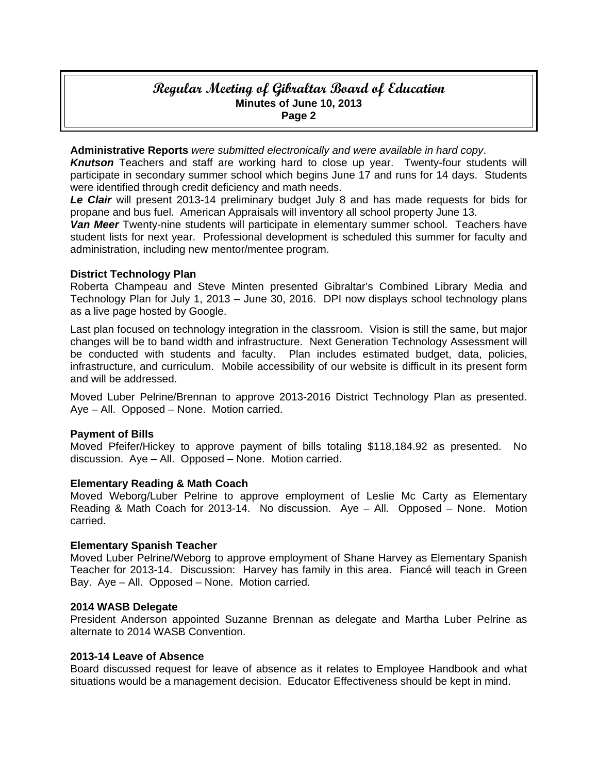# **Regular Meeting of Gibraltar Board of Education Minutes of June 10, 2013 Page 2**

**Administrative Reports** *were submitted electronically and were available in hard copy*.

*Knutson* Teachers and staff are working hard to close up year. Twenty-four students will participate in secondary summer school which begins June 17 and runs for 14 days. Students were identified through credit deficiency and math needs.

*Le Clair* will present 2013-14 preliminary budget July 8 and has made requests for bids for propane and bus fuel. American Appraisals will inventory all school property June 13.

*Van Meer* Twenty-nine students will participate in elementary summer school. Teachers have student lists for next year.Professional development is scheduled this summer for faculty and administration, including new mentor/mentee program.

# **District Technology Plan**

Roberta Champeau and Steve Minten presented Gibraltar's Combined Library Media and Technology Plan for July 1, 2013 – June 30, 2016. DPI now displays school technology plans as a live page hosted by Google.

Last plan focused on technology integration in the classroom. Vision is still the same, but major changes will be to band width and infrastructure. Next Generation Technology Assessment will be conducted with students and faculty. Plan includes estimated budget, data, policies, infrastructure, and curriculum. Mobile accessibility of our website is difficult in its present form and will be addressed.

Moved Luber Pelrine/Brennan to approve 2013-2016 District Technology Plan as presented. Aye – All. Opposed – None. Motion carried.

# **Payment of Bills**

Moved Pfeifer/Hickey to approve payment of bills totaling \$118,184.92 as presented. No discussion. Aye – All. Opposed – None. Motion carried.

#### **Elementary Reading & Math Coach**

Moved Weborg/Luber Pelrine to approve employment of Leslie Mc Carty as Elementary Reading & Math Coach for 2013-14. No discussion. Aye – All. Opposed – None. Motion carried.

#### **Elementary Spanish Teacher**

Moved Luber Pelrine/Weborg to approve employment of Shane Harvey as Elementary Spanish Teacher for 2013-14. Discussion: Harvey has family in this area. Fiancé will teach in Green Bay. Aye – All. Opposed – None. Motion carried.

#### **2014 WASB Delegate**

President Anderson appointed Suzanne Brennan as delegate and Martha Luber Pelrine as alternate to 2014 WASB Convention.

#### **2013-14 Leave of Absence**

Board discussed request for leave of absence as it relates to Employee Handbook and what situations would be a management decision. Educator Effectiveness should be kept in mind.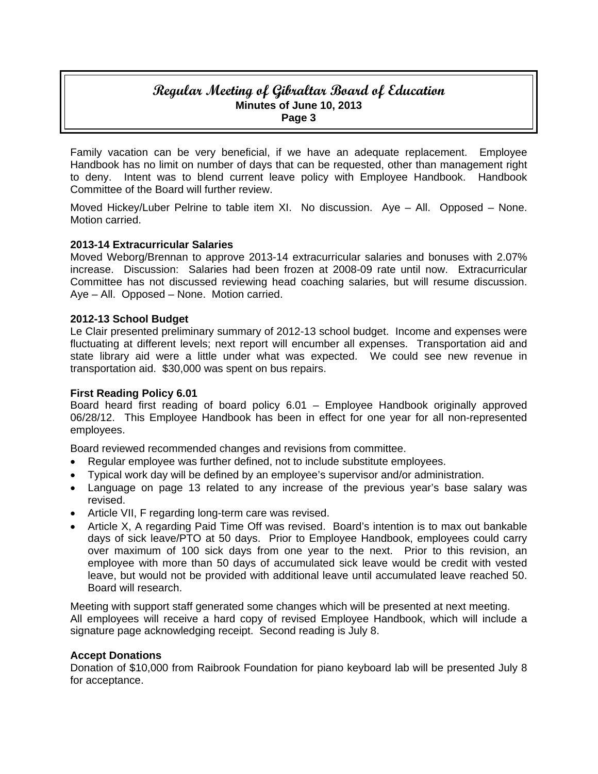# **Regular Meeting of Gibraltar Board of Education Minutes of June 10, 2013 Page 3**

Family vacation can be very beneficial, if we have an adequate replacement. Employee Handbook has no limit on number of days that can be requested, other than management right to deny. Intent was to blend current leave policy with Employee Handbook. Handbook Committee of the Board will further review.

Moved Hickey/Luber Pelrine to table item XI. No discussion. Aye – All. Opposed – None. Motion carried.

# **2013-14 Extracurricular Salaries**

Moved Weborg/Brennan to approve 2013-14 extracurricular salaries and bonuses with 2.07% increase. Discussion: Salaries had been frozen at 2008-09 rate until now. Extracurricular Committee has not discussed reviewing head coaching salaries, but will resume discussion. Aye – All. Opposed – None. Motion carried.

#### **2012-13 School Budget**

Le Clair presented preliminary summary of 2012-13 school budget. Income and expenses were fluctuating at different levels; next report will encumber all expenses. Transportation aid and state library aid were a little under what was expected. We could see new revenue in transportation aid. \$30,000 was spent on bus repairs.

#### **First Reading Policy 6.01**

Board heard first reading of board policy 6.01 – Employee Handbook originally approved 06/28/12. This Employee Handbook has been in effect for one year for all non-represented employees.

Board reviewed recommended changes and revisions from committee.

- Regular employee was further defined, not to include substitute employees.
- Typical work day will be defined by an employee's supervisor and/or administration.
- Language on page 13 related to any increase of the previous year's base salary was revised.
- Article VII, F regarding long-term care was revised.
- Article X, A regarding Paid Time Off was revised. Board's intention is to max out bankable days of sick leave/PTO at 50 days. Prior to Employee Handbook, employees could carry over maximum of 100 sick days from one year to the next. Prior to this revision, an employee with more than 50 days of accumulated sick leave would be credit with vested leave, but would not be provided with additional leave until accumulated leave reached 50. Board will research.

Meeting with support staff generated some changes which will be presented at next meeting. All employees will receive a hard copy of revised Employee Handbook, which will include a signature page acknowledging receipt. Second reading is July 8.

#### **Accept Donations**

Donation of \$10,000 from Raibrook Foundation for piano keyboard lab will be presented July 8 for acceptance.